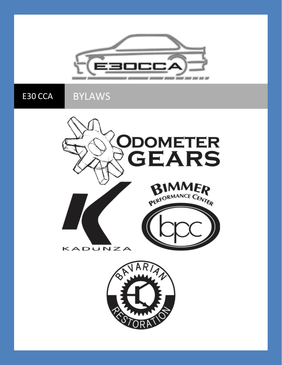

E30 CCA BYLAWS



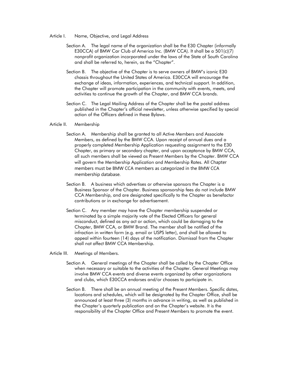- Article I. Name, Objective, and Legal Address
	- Section A. The legal name of the organization shall be the E30 Chapter (informally E30CCA) of BMW Car Club of America Inc. (BMW CCA). It shall be a 501(c)(7) nonprofit organization incorporated under the laws of the State of South Carolina and shall be referred to, herein, as the "Chapter".
	- Section B. The objective of the Chapter is to serve owners of BMW's iconic E30 chassis throughout the United States of America. E30CCA will encourage the exchange of ideas, information, experiences, and technical support. In addition, the Chapter will promote participation in the community with events, meets, and activities to continue the growth of the Chapter, and BMW CCA brands.
	- Section C. The Legal Mailing Address of the Chapter shall be the postal address published in the Chapter's official newsletter, unless otherwise specified by special action of the Officers defined in these Bylaws.

## Article II. Membership

- Section A. Membership shall be granted to all Active Members and Associate Members, as defined by the BMW CCA. Upon receipt of annual dues and a properly completed Membership Application requesting assignment to the E30 Chapter, as primary or secondary chapter, and upon acceptance by BMW CCA, all such members shall be viewed as Present Members by the Chapter. BMW CCA will govern the Membership Application and Membership Rates. All Chapter members must be BMW CCA members as categorized in the BMW CCA membership database.
- Section B. A business which advertises or otherwise sponsors the Chapter is a Business Sponsor of the Chapter. Business sponsorship fees do not include BMW CCA Membership, and are designated specifically to the Chapter as benefactor contributions or in exchange for advertisement.
- Section C. Any member may have the Chapter membership suspended or terminated by a simple majority vote of the Elected Officers for general misconduct, defined as any act or action, which could be damaging to the Chapter, BMW CCA, or BMW Brand. The member shall be notified of the infraction in written form (e.g. email or USPS letter), and shall be allowed to appeal within fourteen (14) days of the notification. Dismissal from the Chapter shall not affect BMW CCA Membership.
- Article III. Meetings of Members.
	- Section A. General meetings of the Chapter shall be called by the Chapter Office when necessary or suitable to the activities of the Chapter. General Meetings may involve BMW CCA events and diverse events organized by other organizations and clubs, which E30CCA endorses and/or chooses to participate in.
	- Section B. There shall be an annual meeting of the Present Members. Specific dates, locations and schedules, which will be designated by the Chapter Office, shall be announced at least three (3) months in advance in writing, as well as published in the Chapter's quarterly publication and on the Chapter's website. It is the responsibility of the Chapter Office and Present Members to promote the event.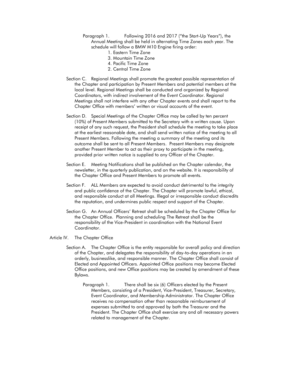- Paragraph 1. Following 2016 and 2017 ("the Start-Up Years"), the Annual Meeting shall be held in alternating Time Zones each year. The schedule will follow a BMW M10 Engine firing order:
	- 1. Eastern Time Zone
	- 3. Mountain Time Zone
	- 4. Pacific Time Zone
	- 2. Central Time Zone
- Section C. Regional Meetings shall promote the greatest possible representation of the Chapter and participation by Present Members and potential members at the local level. Regional Meetings shall be conducted and organized by Regional Coordinators, with indirect involvement of the Event Coordinator. Regional Meetings shall not interfere with any other Chapter events and shall report to the Chapter Office with members' written or visual accounts of the event.
- Section D. Special Meetings of the Chapter Office may be called by ten percent (10%) of Present Members submitted to the Secretary with a written cause. Upon receipt of any such request, the President shall schedule the meeting to take place at the earliest reasonable date, and shall send written notice of the meeting to all Present Members. Following the meeting a summary of the meeting and its outcome shall be sent to all Present Members. Present Members may designate another Present Member to act as their proxy to participate in the meeting, provided prior written notice is supplied to any Officer of the Chapter.
- Section E. Meeting Notifications shall be published on the Chapter calendar, the newsletter, in the quarterly publication, and on the website. It is responsibility of the Chapter Office and Present Members to promote all events.
- Section F. ALL Members are expected to avoid conduct detrimental to the integrity and public confidence of the Chapter. The Chapter will promote lawful, ethical, and responsible conduct at all Meetings. Illegal or irresponsible conduct discredits the reputation, and undermines public respect and support of the Chapter.
- Section G. An Annual Officers' Retreat shall be scheduled by the Chapter Office for the Chapter Office. Planning and scheduling The Retreat shall be the responsibility of the Vice-President in coordination with the National Event Coordinator.
- Article IV. The Chapter Office
	- Section A. The Chapter Office is the entity responsible for overall policy and direction of the Chapter, and delegates the responsibility of day-to-day operations in an orderly, businesslike, and responsible manner. The Chapter Office shall consist of Elected and Appointed Officers. Appointed Office positions may become Elected Office positions, and new Office positions may be created by amendment of these Bylaws.
		- Paragraph 1. There shall be six (6) Officers elected by the Present Members, consisting of a President, Vice-President, Treasurer, Secretary, Event Coordinator, and Membership Administrator. The Chapter Office receives no compensation other than reasonable reimbursement of expenses submitted to and approved by both the Treasurer and the President. The Chapter Office shall exercise any and all necessary powers related to management of the Chapter.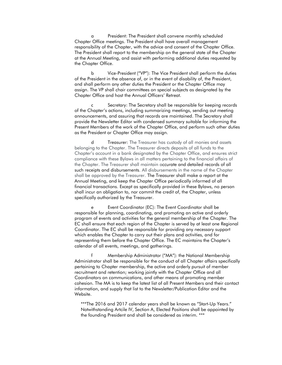a President: The President shall convene monthly scheduled Chapter Office meetings. The President shall have overall management responsibility of the Chapter, with the advice and consent of the Chapter Office. The President shall report to the membership on the general state of the Chapter at the Annual Meeting, and assist with performing additional duties requested by the Chapter Office.

b Vice-President ("VP"): The Vice President shall perform the duties of the President in the absence of, or in the event of disability of, the President, and shall perform any other duties the President or the Chapter Office may assign. The VP shall chair committees on special subjects as designated by the Chapter Office and host the Annual Officers' Retreat.

Secretary: The Secretary shall be responsible for keeping records of the Chapter's actions, including summarizing meetings, sending out meeting announcements, and assuring that records are maintained. The Secretary shall provide the Newsletter Editor with condensed summary suitable for informing the Present Members of the work of the Chapter Office, and perform such other duties as the President or Chapter Office may assign.

d Treasurer: The Treasurer has custody of all monies and assets belonging to the Chapter. The Treasurer directs deposits of all funds to the Chapter's account in a bank designated by the Chapter Office, and ensures strict compliance with these Bylaws in all matters pertaining to the financial affairs of the Chapter. The Treasurer shall maintain accurate and detailed records of all such receipts and disbursements. All disbursements in the name of the Chapter shall be approved by the Treasurer. The Treasurer shall make a report at the Annual Meeting, and keep the Chapter Office periodically informed of all financial transactions. Except as specifically provided in these Bylaws, no person shall incur an obligation to, nor commit the credit of, the Chapter, unless specifically authorized by the Treasurer.

e Event Coordinator (EC): The Event Coordinator shall be responsible for planning, coordinating, and promoting an active and orderly program of events and activities for the general membership of the Chapter. The EC shall ensure that each region of the Chapter is served by at least one Regional Coordinator. The EC shall be responsible for providing any necessary support which enables the Chapter to carry out their plans and activities, and for representing them before the Chapter Office. The EC maintains the Chapter's calendar of all events, meetings, and gatherings.

f Membership Administrator ("MA"): the National Membership Administrator shall be responsible for the conduct of all Chapter affairs specifically pertaining to Chapter membership, the active and orderly pursuit of member recruitment and retention; working jointly with the Chapter Office and all Coordinators on communications, and other means of promoting member cohesion. The MA is to keep the latest list of all Present Members and their contact information, and supply that list to the Newsletter/Publication Editor and the Website.

\*\*\*The 2016 and 2017 calendar years shall be known as "Start-Up Years." Notwithstanding Artcile IV, Section A, Elected Positions shall be appointed by the founding President and shall be considered as interim. \*\*\*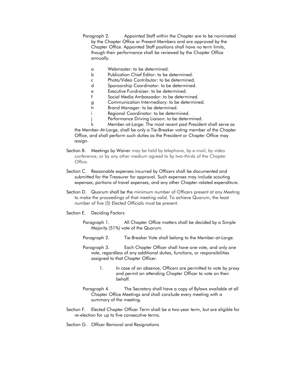- Paragraph 2. Appointed Staff within the Chapter are to be nominated by the Chapter Office or Present Members and are approved by the Chapter Office. Appointed Staff positions shall have no term limits, though their performance shall be reviewed by the Chapter Office annually.
	- a Webmaster: to be determined.
	- b Publication Chief Editor: to be determined.
	- c Photo/Video Contributor: to be determined.
	- d Sponsorship Coordinator: to be determined.
	- e Executive Fundraiser: to be determined.
	- f Social Media Ambassador: to be determined.
	- g Communication Intermediary: to be determined.
	- h Brand Manager: to be determined.
	- i Regional Coordinator: to be determined.
	- j Performance Driving Liaison: to be determined.

k Member-at-Large: The most recent past President shall serve as the Member-At-Large, shall be only a Tie-Breaker voting member of the Chapter Office, and shall perform such duties as the President or Chapter Office may assign.

- Section B. Meetings by Waiver may be held by telephone, by e-mail, by video conference, or by any other medium agreed to by two-thirds of the Chapter Office.
- Section C. Reasonable expenses incurred by Officers shall be documented and submitted for the Treasurer for approval. Such expenses may include scouting expenses, portions of travel expenses, and any other Chapter-related expenditure.
- Section D. Quorum shall be the minimum number of Officers present at any Meeting to make the proceedings of that meeting valid. To achieve Quorum, the least number of five (5) Elected Officials must be present.
- Section E. Deciding Factors
	- Paragraph 1. All Chapter Office matters shall be decided by a Simple Majority (51%) vote of the Quorum.
	- Paragraph 2. Tie-Breaker Vote shall belong to the Member-at-Large.
	- Paragraph 3. Each Chapter Officer shall have one vote, and only one vote, regardless of any additional duties, functions, or responsibilities assigned to that Chapter Officer.
		- 1. In case of an absence, Officers are permitted to vote by proxy and permit an attending Chapter Officer to vote on their behalf.
	- Paragraph 4. The Secretary shall have a copy of Bylaws available at all Chapter Office Meetings and shall conclude every meeting with a summary of the meeting.
- Section F. Elected Chapter Officer Term shall be a two-year term, but are eligible for re-election for up to five consecutive terms.

Section G. Officer Removal and Resignations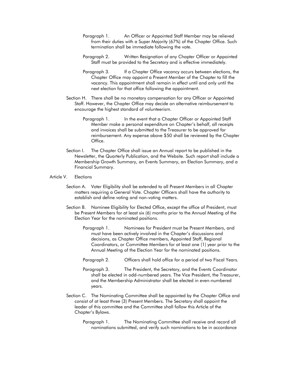- Paragraph 1. An Officer or Appointed Staff Member may be relieved from their duties with a Super Majority (67%) of the Chapter Office. Such termination shall be immediate following the vote.
- Paragraph 2. Written Resignation of any Chapter Officer or Appointed Staff must be provided to the Secretary and is effective immediately.
- Paragraph 3. If a Chapter Office vacancy occurs between elections, the Chapter Office may appoint a Present Member of the Chapter to fill the vacancy. This appointment shall remain in effect until and only until the next election for that office following the appointment.
- Section H. There shall be no monetary compensation for any Officer or Appointed Staff. However, the Chapter Office may decide on alternative reimbursement to encourage the highest standard of volunteerism.
	- Paragraph 1. In the event that a Chapter Officer or Appointed Staff Member make a personal expenditure on Chapter's behalf, all receipts and invoices shall be submitted to the Treasurer to be approved for reimbursement. Any expense above \$50 shall be reviewed by the Chapter Office.
- Section I. The Chapter Office shall issue an Annual report to be published in the Newsletter, the Quarterly Publication, and the Website. Such report shall include a Membership Growth Summary, an Events Summary, an Election Summary, and a Financial Summary.
- Article V. Elections
	- Section A. Voter Eligibility shall be extended to all Present Members in all Chapter matters requiring a General Vote. Chapter Officers shall have the authority to establish and define voting and non-voting matters.
	- Section B. Nominee Eligibility for Elected Office, except the office of President, must be Present Members for at least six (6) months prior to the Annual Meeting of the Election Year for the nominated positions.
		- Paragraph 1. Nominees for President must be Present Members, and must have been actively involved in the Chapter's discussions and decisions, as Chapter Office members, Appointed Staff, Regional Coordinators, or Committee Members for at least one (1) year prior to the Annual Meeting of the Election Year for the nominated positions.
		- Paragraph 2. Officers shall hold office for a period of two Fiscal Years.
		- Paragraph 3. The President, the Secretary, and the Events Coordinator shall be elected in odd-numbered years. The Vice President, the Treasurer, and the Membership Administrator shall be elected in even-numbered years.
	- Section C. The Nominating Committee shall be appointed by the Chapter Office and consist of at least three (3) Present Members. The Secretary shall appoint the leader of this committee and the Committee shall follow this Article of the Chapter's Bylaws.
		- Paragraph 1. The Nominating Committee shall receive and record all nominations submitted, and verify such nominations to be in accordance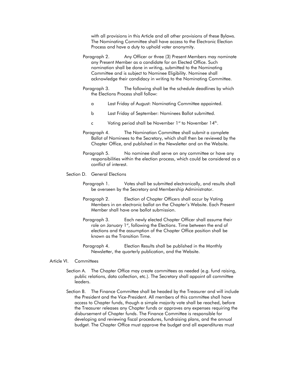with all provisions in this Article and all other provisions of these Bylaws. The Nominating Committee shall have access to the Electronic Election Process and have a duty to uphold voter anonymity.

- Paragraph 2. Any Officer or three (3) Present Members may nominate any Present Member as a candidate for an Elected Office. Such nomination shall be done in writing, submitted to the Nominating Committee and is subject to Nominee Eligibility. Nominee shall acknowledge their candidacy in writing to the Nominating Committee.
- Paragraph 3. The following shall be the schedule deadlines by which the Elections Process shall follow:
	- a Last Friday of August: Nominating Committee appointed.
	- b Last Friday of September: Nominees Ballot submitted.
	- c Voting period shall be November  $1<sup>st</sup>$  to November  $14<sup>th</sup>$ .
- Paragraph 4. The Nomination Committee shall submit a complete Ballot of Nominees to the Secretary, which shall then be reviewed by the Chapter Office, and published in the Newsletter and on the Website.
- Paragraph 5. No nominee shall serve on any committee or have any responsibilities within the election process, which could be considered as a conflict of interest.

## Section D. General Elections

- Paragraph 1. Votes shall be submitted electronically, and results shall be overseen by the Secretary and Membership Administrator.
- Paragraph 2. Election of Chapter Officers shall occur by Voting Members in an electronic ballot on the Chapter's Website. Each Present Member shall have one ballot submission.
- Paragraph 3. Each newly elected Chapter Officer shall assume their role on January 1st, following the Elections. Time between the end of elections and the assumption of the Chapter Office position shall be known as the Transition Time.
- Paragraph 4. Election Results shall be published in the Monthly Newsletter, the quarterly publication, and the Website.

## Article VI. Committees

- Section A. The Chapter Office may create committees as needed (e.g. fund raising, public relations, data collection, etc.). The Secretary shall appoint all committee leaders.
- Section B. The Finance Committee shall be headed by the Treasurer and will include the President and the Vice-President. All members of this committee shall have access to Chapter funds, though a simple majority vote shall be reached, before the Treasurer releases any Chapter funds or approves any expenses requiring the disbursement of Chapter funds. The Finance Committee is responsible for developing and reviewing fiscal procedures, fundraising plans, and the annual budget. The Chapter Office must approve the budget and all expenditures must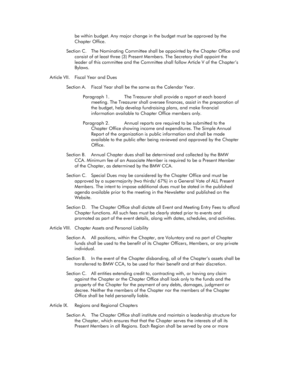be within budget. Any major change in the budget must be approved by the Chapter Office.

- Section C. The Nominating Committee shall be appointed by the Chapter Office and consist of at least three (3) Present Members. The Secretary shall appoint the leader of this committee and the Committee shall follow Article V of the Chapter's Bylaws.
- Article VII. Fiscal Year and Dues
	- Section A. Fiscal Year shall be the same as the Calendar Year.
		- Paragraph 1. The Treasurer shall provide a report at each board meeting. The Treasurer shall oversee finances, assist in the preparation of the budget, help develop fundraising plans, and make financial information available to Chapter Office members only.
		- Paragraph 2. Annual reports are required to be submitted to the Chapter Office showing income and expenditures. The Simple Annual Report of the organization is public information and shall be made available to the public after being reviewed and approved by the Chapter Office.
	- Section B. Annual Chapter dues shall be determined and collected by the BMW CCA. Minimum fee of an Associate Member is required to be a Present Member of the Chapter, as determined by the BMW CCA.
	- Section C. Special Dues may be considered by the Chapter Office and must be approved by a supermajority (two thirds/ 67%) in a General Vote of ALL Present Members. The intent to impose additional dues must be stated in the published agenda available prior to the meeting in the Newsletter and published on the Website.
	- Section D. The Chapter Office shall dictate all Event and Meeting Entry Fees to afford Chapter functions. All such fees must be clearly stated prior to events and promoted as part of the event details, along with dates, schedules, and activities.
- Article VIII. Chapter Assets and Personal Liability
	- Section A. All positions, within the Chapter, are Voluntary and no part of Chapter funds shall be used to the benefit of its Chapter Officers, Members, or any private individual.
	- Section B. In the event of the Chapter disbanding, all of the Chapter's assets shall be transferred to BMW CCA, to be used for their benefit and at their discretion.
	- Section C. All entities extending credit to, contracting with, or having any claim against the Chapter or the Chapter Office shall look only to the funds and the property of the Chapter for the payment of any debts, damages, judgment or decree. Neither the members of the Chapter nor the members of the Chapter Office shall be held personally liable.
- Article IX. Regions and Regional Chapters
	- Section A. The Chapter Office shall institute and maintain a leadership structure for the Chapter, which ensures that that the Chapter serves the interests of all its Present Members in all Regions. Each Region shall be served by one or more